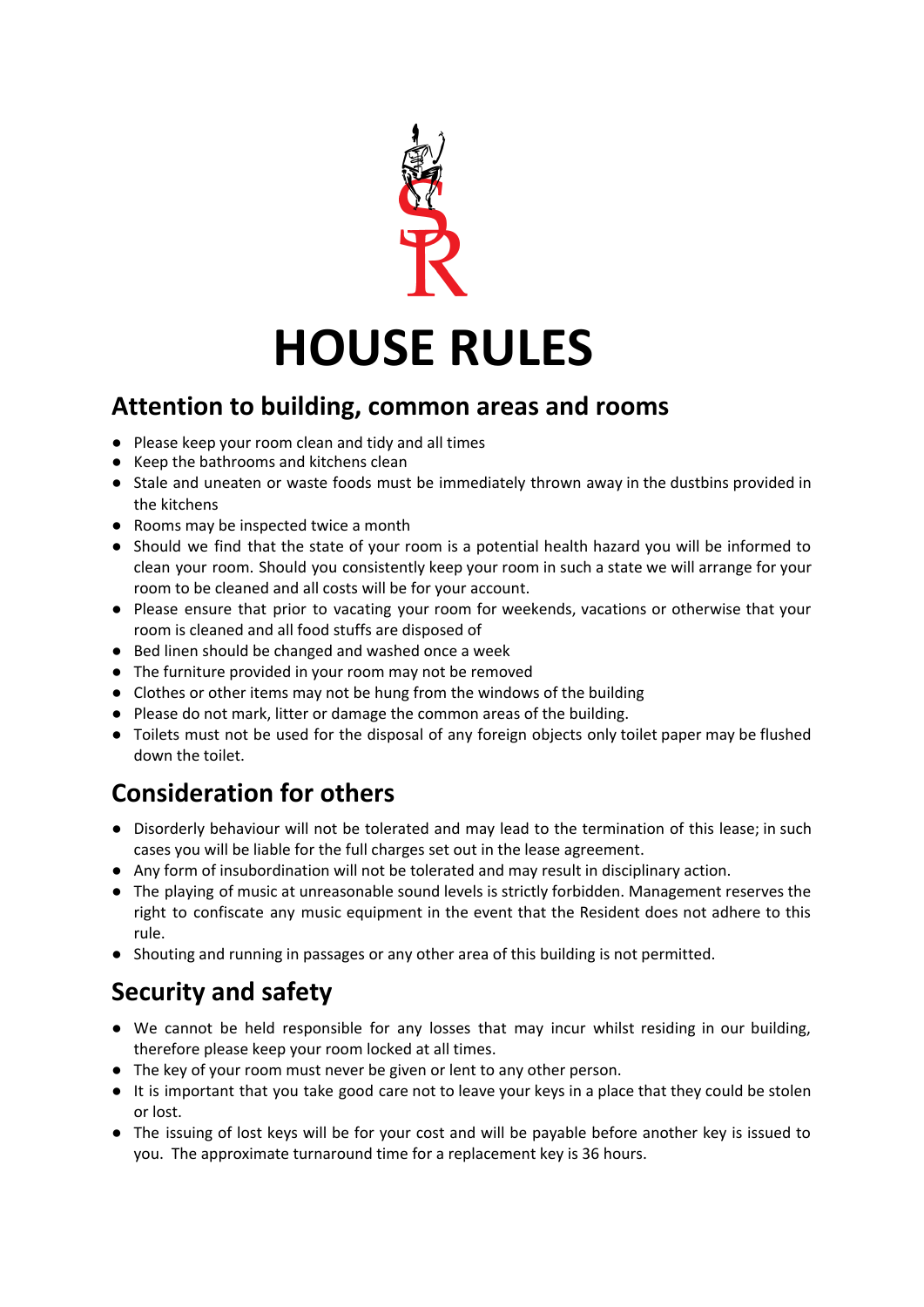

#### **Attention to building, common areas and rooms**

- Please keep your room clean and tidy and all times
- Keep the bathrooms and kitchens clean
- Stale and uneaten or waste foods must be immediately thrown away in the dustbins provided in the kitchens
- Rooms may be inspected twice a month
- Should we find that the state of your room is a potential health hazard you will be informed to clean your room. Should you consistently keep your room in such a state we will arrange for your room to be cleaned and all costs will be for your account.
- Please ensure that prior to vacating your room for weekends, vacations or otherwise that your room is cleaned and all food stuffs are disposed of
- Bed linen should be changed and washed once a week
- The furniture provided in your room may not be removed
- Clothes or other items may not be hung from the windows of the building
- Please do not mark, litter or damage the common areas of the building.
- Toilets must not be used for the disposal of any foreign objects only toilet paper may be flushed down the toilet.

## **Consideration for others**

- Disorderly behaviour will not be tolerated and may lead to the termination of this lease; in such cases you will be liable for the full charges set out in the lease agreement.
- Any form of insubordination will not be tolerated and may result in disciplinary action.
- The playing of music at unreasonable sound levels is strictly forbidden. Management reserves the right to confiscate any music equipment in the event that the Resident does not adhere to this rule.
- Shouting and running in passages or any other area of this building is not permitted.

# **Security and safety**

- We cannot be held responsible for any losses that may incur whilst residing in our building, therefore please keep your room locked at all times.
- The key of your room must never be given or lent to any other person.
- It is important that you take good care not to leave your keys in a place that they could be stolen or lost.
- The issuing of lost keys will be for your cost and will be payable before another key is issued to you. The approximate turnaround time for a replacement key is 36 hours.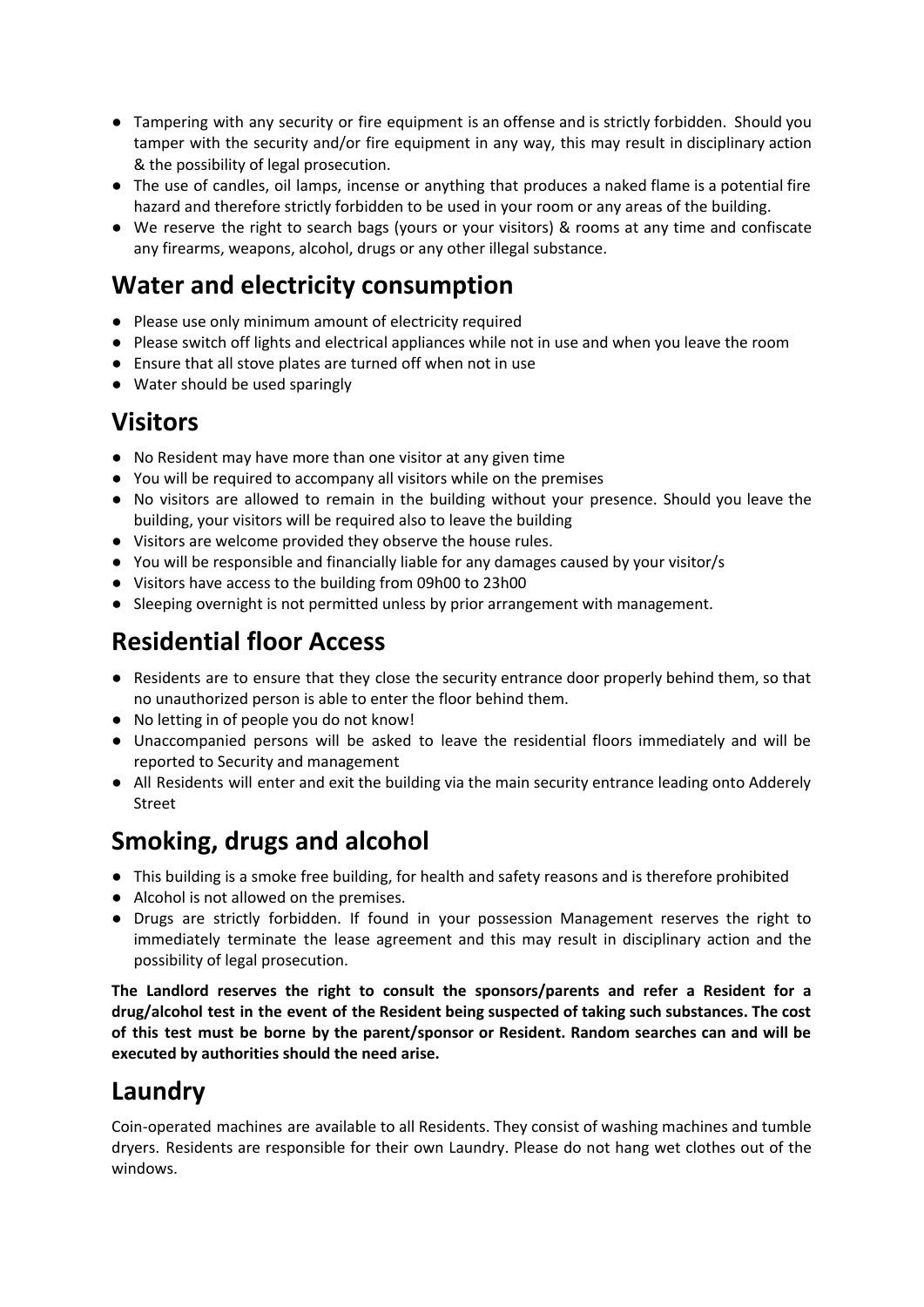- Tampering with any security or fire equipment is an offense and is strictly forbidden. Should you tamper with the security and/or fire equipment in any way, this may result in disciplinary action & the possibility of legal prosecution.
- The use of candles, oil lamps, incense or anything that produces a naked flame is a potential fire hazard and therefore strictly forbidden to be used in your room or any areas of the building.
- We reserve the right to search bags (yours or your visitors) & rooms at any time and confiscate any firearms, weapons, alcohol, drugs or any other illegal substance.

### **Water and electricity consumption**

- Please use only minimum amount of electricity required
- Please switch off lights and electrical appliances while not in use and when you leave the room
- Ensure that all stove plates are turned off when not in use
- Water should be used sparingly

#### **Visitors**

- No Resident may have more than one visitor at any given time
- You will be required to accompany all visitors while on the premises
- No visitors are allowed to remain in the building without your presence. Should you leave the building, your visitors will be required also to leave the building
- Visitors are welcome provided they observe the house rules.
- You will be responsible and financially liable for any damages caused by your visitor/s
- Visitors have access to the building from 09h00 to 23h00
- Sleeping overnight is not permitted unless by prior arrangement with management.

# **Residential floor Access**

- Residents are to ensure that they close the security entrance door properly behind them, so that no unauthorized person is able to enter the floor behind them.
- No letting in of people you do not know!
- Unaccompanied persons will be asked to leave the residential floors immediately and will be reported to Security and management
- All Residents will enter and exit the building via the main security entrance leading onto Adderely Street

# **Smoking, drugs and alcohol**

- This building is a smoke free building, for health and safety reasons and is therefore prohibited
- Alcohol is not allowed on the premises.
- **●** Drugs are strictly forbidden. If found in your possession Management reserves the right to immediately terminate the lease agreement and this may result in disciplinary action and the possibility of legal prosecution.

**The Landlord reserves the right to consult the sponsors/parents and refer a Resident for a drug/alcohol test in the event of the Resident being suspected of taking such substances. The cost of this test must be borne by the parent/sponsor or Resident. Random searches can and will be executed by authorities should the need arise.**

# **Laundry**

Coin-operated machines are available to all Residents. They consist of washing machines and tumble dryers. Residents are responsible for their own Laundry. Please do not hang wet clothes out of the windows.